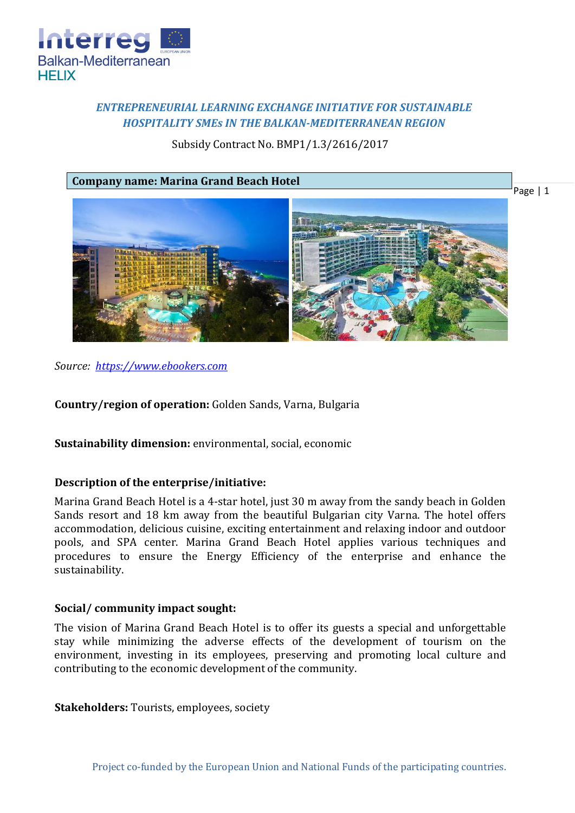

# *ENTREPRENEURIAL LEARNING EXCHANGE INITIATIVE FOR SUSTAINABLE HOSPITALITY SMEs IN THE BALKAN-MEDITERRANEAN REGION*

Subsidy Contract No. BMP1/1.3/2616/2017



*Source: [https://www.ebookers.com](https://www.ebookers.com/Black-Sea-Coast-Hotels-Marina-Grand-Beach-Hotel.h2674239.Hotel-Information)*

**Country/region of operation:** Golden Sands, Varna, Bulgaria

**Sustainability dimension:** environmental, social, economic

# **Description of the enterprise/initiative:**

Marina Grand Beach Hotel is a 4-star hotel, just 30 m away from the sandy beach in Golden Sands resort and 18 km away from the beautiful Bulgarian city Varna. The hotel offers accommodation, delicious cuisine, exciting entertainment and relaxing indoor and outdoor pools, and SPA center. Marina Grand Beach Hotel applies various techniques and procedures to ensure the Energy Efficiency of the enterprise and enhance the sustainability.

## **Social/ community impact sought:**

The vision of Marina Grand Beach Hotel is to offer its guests a special and unforgettable stay while minimizing the adverse effects of the development of tourism on the environment, investing in its employees, preserving and promoting local culture and contributing to the economic development of the community.

**Stakeholders:** Tourists, employees, society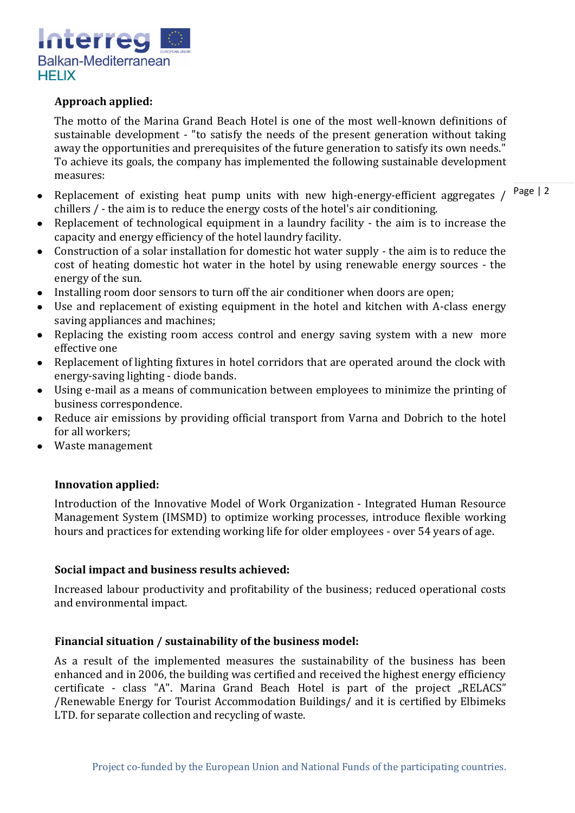

## **Approach applied:**

The motto of the Marina Grand Beach Hotel is one of the most well-known definitions of sustainable development - "to satisfy the needs of the present generation without taking away the opportunities and prerequisites of the future generation to satisfy its own needs." To achieve its goals, the company has implemented the following sustainable development measures:

- Page | 2 Replacement of existing heat pump units with new high-energy-efficient aggregates /  $\bullet$ chillers / - the aim is to reduce the energy costs of the hotel's air conditioning.
- Replacement of technological equipment in a laundry facility the aim is to increase the capacity and energy efficiency of the hotel laundry facility.
- Construction of a solar installation for domestic hot water supply the aim is to reduce the  $\bullet$ cost of heating domestic hot water in the hotel by using renewable energy sources - the energy of the sun.
- Installing room door sensors to turn off the air conditioner when doors are open;
- Use and replacement of existing equipment in the hotel and kitchen with A-class energy saving appliances and machines;
- Replacing the existing room access control and energy saving system with a new more effective one
- Replacement of lighting fixtures in hotel corridors that are operated around the clock with energy-saving lighting - diode bands.
- Using e-mail as a means of communication between employees to minimize the printing of business correspondence.
- Reduce air emissions by providing official transport from Varna and Dobrich to the hotel for all workers;
- Waste management

## **Innovation applied:**

Introduction of the Innovative Model of Work Organization - Integrated Human Resource Management System (IMSMD) to optimize working processes, introduce flexible working hours and practices for extending working life for older employees - over 54 years of age.

### **Social impact and business results achieved:**

Increased labour productivity and profitability of the business; reduced operational costs and environmental impact.

### **Financial situation / sustainability of the business model:**

As a result of the implemented measures the sustainability of the business has been enhanced and in 2006, the building was certified and received the highest energy efficiency certificate - class "A". Marina Grand Beach Hotel is part of the project "RELACS" /Renewable Energy for Tourist Accommodation Buildings/ and it is certified by Elbimeks LTD. for separate collection and recycling of waste.